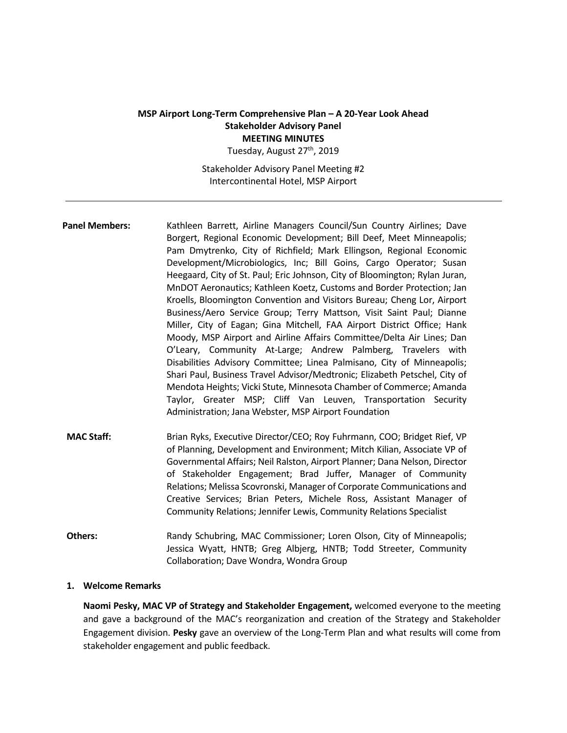# **MSP Airport Long-Term Comprehensive Plan – A 20-Year Look Ahead Stakeholder Advisory Panel MEETING MINUTES**

Tuesday, August 27<sup>th</sup>, 2019

Stakeholder Advisory Panel Meeting #2 Intercontinental Hotel, MSP Airport

- **Panel Members:** Kathleen Barrett, Airline Managers Council/Sun Country Airlines; Dave Borgert, Regional Economic Development; Bill Deef, Meet Minneapolis; Pam Dmytrenko, City of Richfield; Mark Ellingson, Regional Economic Development/Microbiologics, Inc; Bill Goins, Cargo Operator; Susan Heegaard, City of St. Paul; Eric Johnson, City of Bloomington; Rylan Juran, MnDOT Aeronautics; Kathleen Koetz, Customs and Border Protection; Jan Kroells, Bloomington Convention and Visitors Bureau; Cheng Lor, Airport Business/Aero Service Group; Terry Mattson, Visit Saint Paul; Dianne Miller, City of Eagan; Gina Mitchell, FAA Airport District Office; Hank Moody, MSP Airport and Airline Affairs Committee/Delta Air Lines; Dan O'Leary, Community At-Large; Andrew Palmberg, Travelers with Disabilities Advisory Committee; Linea Palmisano, City of Minneapolis; Shari Paul, Business Travel Advisor/Medtronic; Elizabeth Petschel, City of Mendota Heights; Vicki Stute, Minnesota Chamber of Commerce; Amanda Taylor, Greater MSP; Cliff Van Leuven, Transportation Security Administration; Jana Webster, MSP Airport Foundation
- **MAC Staff:** Brian Ryks, Executive Director/CEO; Roy Fuhrmann, COO; Bridget Rief, VP of Planning, Development and Environment; Mitch Kilian, Associate VP of Governmental Affairs; Neil Ralston, Airport Planner; Dana Nelson, Director of Stakeholder Engagement; Brad Juffer, Manager of Community Relations; Melissa Scovronski, Manager of Corporate Communications and Creative Services; Brian Peters, Michele Ross, Assistant Manager of Community Relations; Jennifer Lewis, Community Relations Specialist
- **Others:** Randy Schubring, MAC Commissioner; Loren Olson, City of Minneapolis; Jessica Wyatt, HNTB; Greg Albjerg, HNTB; Todd Streeter, Community Collaboration; Dave Wondra, Wondra Group

## **1. Welcome Remarks**

**Naomi Pesky, MAC VP of Strategy and Stakeholder Engagement,** welcomed everyone to the meeting and gave a background of the MAC's reorganization and creation of the Strategy and Stakeholder Engagement division. **Pesky** gave an overview of the Long-Term Plan and what results will come from stakeholder engagement and public feedback.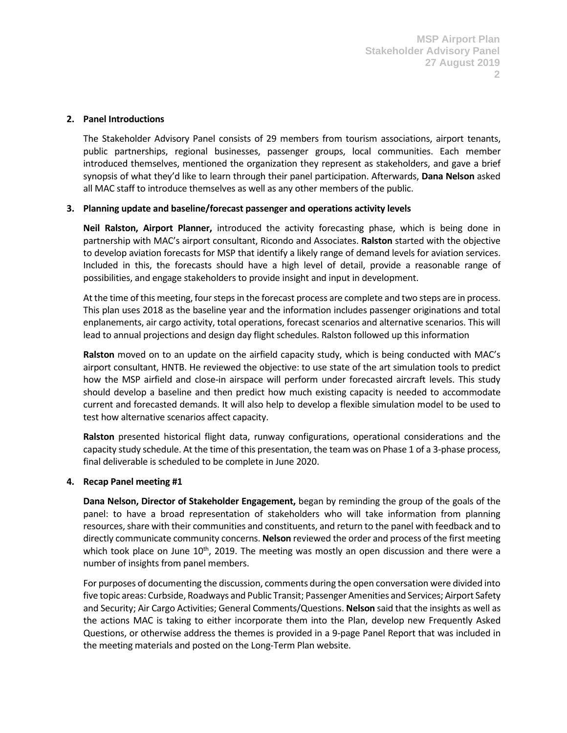## **2. Panel Introductions**

The Stakeholder Advisory Panel consists of 29 members from tourism associations, airport tenants, public partnerships, regional businesses, passenger groups, local communities. Each member introduced themselves, mentioned the organization they represent as stakeholders, and gave a brief synopsis of what they'd like to learn through their panel participation. Afterwards, **Dana Nelson** asked all MAC staff to introduce themselves as well as any other members of the public.

# **3. Planning update and baseline/forecast passenger and operations activity levels**

**Neil Ralston, Airport Planner,** introduced the activity forecasting phase, which is being done in partnership with MAC's airport consultant, Ricondo and Associates. **Ralston** started with the objective to develop aviation forecasts for MSP that identify a likely range of demand levels for aviation services. Included in this, the forecasts should have a high level of detail, provide a reasonable range of possibilities, and engage stakeholders to provide insight and input in development.

At the time of this meeting, four steps in the forecast process are complete and two steps are in process. This plan uses 2018 as the baseline year and the information includes passenger originations and total enplanements, air cargo activity, total operations, forecast scenarios and alternative scenarios. This will lead to annual projections and design day flight schedules. Ralston followed up this information

**Ralston** moved on to an update on the airfield capacity study, which is being conducted with MAC's airport consultant, HNTB. He reviewed the objective: to use state of the art simulation tools to predict how the MSP airfield and close-in airspace will perform under forecasted aircraft levels. This study should develop a baseline and then predict how much existing capacity is needed to accommodate current and forecasted demands. It will also help to develop a flexible simulation model to be used to test how alternative scenarios affect capacity.

**Ralston** presented historical flight data, runway configurations, operational considerations and the capacity study schedule. At the time of this presentation, the team was on Phase 1 of a 3-phase process, final deliverable is scheduled to be complete in June 2020.

# **4. Recap Panel meeting #1**

**Dana Nelson, Director of Stakeholder Engagement,** began by reminding the group of the goals of the panel: to have a broad representation of stakeholders who will take information from planning resources, share with their communities and constituents, and return to the panel with feedback and to directly communicate community concerns. **Nelson** reviewed the order and process of the first meeting which took place on June  $10<sup>th</sup>$ , 2019. The meeting was mostly an open discussion and there were a number of insights from panel members.

For purposes of documenting the discussion, comments during the open conversation were divided into five topic areas: Curbside, Roadways and Public Transit; Passenger Amenities and Services; Airport Safety and Security; Air Cargo Activities; General Comments/Questions. **Nelson** said that the insights as well as the actions MAC is taking to either incorporate them into the Plan, develop new Frequently Asked Questions, or otherwise address the themes is provided in a 9-page Panel Report that was included in the meeting materials and posted on the Long-Term Plan website.